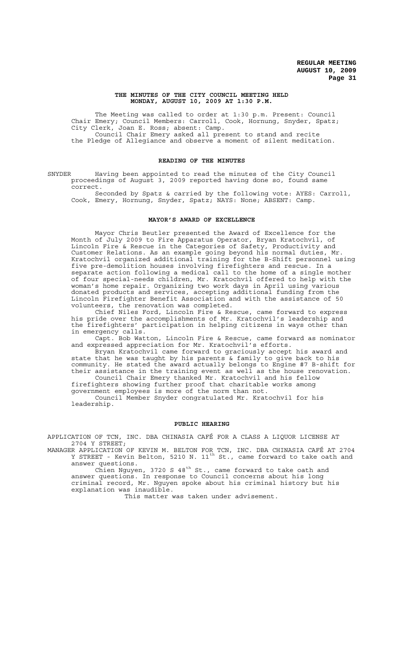### **THE MINUTES OF THE CITY COUNCIL MEETING HELD MONDAY, AUGUST 10, 2009 AT 1:30 P.M.**

The Meeting was called to order at 1:30 p.m. Present: Council Chair Emery; Council Members: Carroll, Cook, Hornung, Snyder, Spatz; City Clerk, Joan E. Ross; absent: Camp. Council Chair Emery asked all present to stand and recite the Pledge of Allegiance and observe a moment of silent meditation.

# **READING OF THE MINUTES**

SNYDER Having been appointed to read the minutes of the City Council proceedings of August 3, 2009 reported having done so, found same correct.

Seconded by Spatz & carried by the following vote: AYES: Carroll, Cook, Emery, Hornung, Snyder, Spatz; NAYS: None; ABSENT: Camp.

# **MAYOR'S AWARD OF EXCELLENCE**

Mayor Chris Beutler presented the Award of Excellence for the Month of July 2009 to Fire Apparatus Operator, Bryan Kratochvil, of Lincoln Fire & Rescue in the Categories of Safety, Productivity and Customer Relations. As an example going beyond his normal duties, Mr. Kratochvil organized additional training for the B-Shift personnel using five pre-demolition houses involving firefighters and rescue. In a separate action following a medical call to the home of a single mother of four special-needs children, Mr. Kratochvil offered to help with the woman's home repair. Organizing two work days in April using various donated products and services, accepting additional funding from the Lincoln Firefighter Benefit Association and with the assistance of 50 volunteers, the renovation was completed.

Chief Niles Ford, Lincoln Fire & Rescue, came forward to express his pride over the accomplishments of Mr. Kratochvil's leadership and the firefighters' participation in helping citizens in ways other than in emergency calls.

Capt. Bob Watton, Lincoln Fire & Rescue, came forward as nominator and expressed appreciation for Mr. Kratochvil's efforts.

Bryan Kratochvil came forward to graciously accept his award and state that he was taught by his parents & family to give back to his community. He stated the award actually belongs to Engine #7 B-shift for their assistance in the training event as well as the house renovation.

Council Chair Emery thanked Mr. Kratochvil and his fellow firefighters showing further proof that charitable works among government employees is more of the norm than not.

Council Member Snyder congratulated Mr. Kratochvil for his leadership.

### **PUBLIC HEARING**

APPLICATION OF TCN, INC. DBA CHINASIA CAFÉ FOR A CLASS A LIQUOR LICENSE AT 2704 Y STREET;

MANAGER APPLICATION OF KEVIN M. BELTON FOR TCN, INC. DBA CHINASIA CAFÉ AT 2704 Y STREET - Kevin Belton, 5210 N. 11<sup>th</sup> St., came forward to take oath and answer questions.

Chien Nguyen, 3720 S 48<sup>th</sup> St., came forward to take oath and answer questions. In response to Council concerns about his long criminal record, Mr. Nguyen spoke about his criminal history but his explanation was inaudible.

This matter was taken under advisement.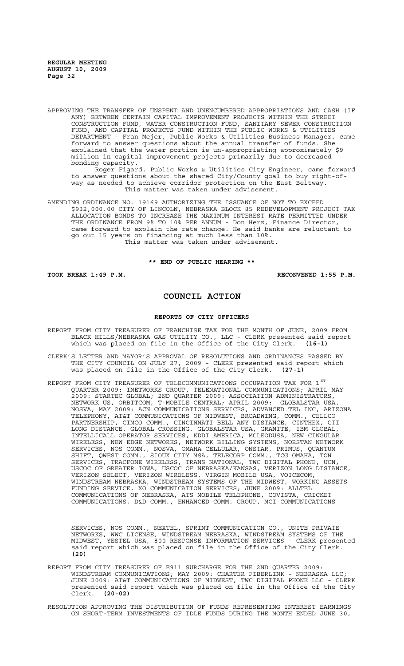APPROVING THE TRANSFER OF UNSPENT AND UNENCUMBERED APPROPRIATIONS AND CASH (IF ANY) BETWEEN CERTAIN CAPITAL IMPROVEMENT PROJECTS WITHIN THE STREET CONSTRUCTION FUND, WATER CONSTRUCTION FUND, SANITARY SEWER CONSTRUCTION FUND, AND CAPITAL PROJECTS FUND WITHIN THE PUBLIC WORKS & UTILITIES DEPARTMENT - Fran Mejer, Public Works & Utilities Business Manager, came forward to answer questions about the annual transfer of funds. She explained that the water portion is un-appropriating approximately \$9 million in capital improvement projects primarily due to decreased bonding capacity.

Roger Figard, Public Works & Utilities City Engineer, came forward to answer questions about the shared City/County goal to buy right-ofway as needed to achieve corridor protection on the East Beltway. This matter was taken under advisement.

AMENDING ORDINANCE NO. 19169 AUTHORIZING THE ISSUANCE OF NOT TO EXCEED \$932,000.00 CITY OF LINCOLN, NEBRASKA BLOCK 85 REDEVELOPMENT PROJECT TAX ALLOCATION BONDS TO INCREASE THE MAXIMUM INTEREST RATE PERMITTED UNDER THE ORDINANCE FROM 9% TO 10% PER ANNUM - Don Herz, Finance Director, came forward to explain the rate change. He said banks are reluctant to go out 15 years on financing at much less than 10%. This matter was taken under advisement.

**\*\* END OF PUBLIC HEARING \*\***

**TOOK BREAK 1:49 P.M. RECONVENED 1:55 P.M.**

# **COUNCIL ACTION**

### **REPORTS OF CITY OFFICERS**

- REPORT FROM CITY TREASURER OF FRANCHISE TAX FOR THE MONTH OF JUNE, 2009 FROM BLACK HILLS/NEBRASKA GAS UTILITY CO., LLC - CLERK presented said report which was placed on file in the Office of the City Clerk. **(16-1)**
- CLERK'S LETTER AND MAYOR'S APPROVAL OF RESOLUTIONS AND ORDINANCES PASSED BY THE CITY COUNCIL ON JULY 27, 2009 - CLERK presented said report which was placed on file in the Office of the City Clerk. **(27-1)**
- REPORT FROM CITY TREASURER OF TELECOMMUNICATIONS OCCUPATION TAX FOR 1  $^{\mathrm{ST}}$ QUARTER 2009: INETWORKS GROUP, TELENATIONAL COMMUNICATIONS; APRIL-MAY 2009: STARTEC GLOBAL; 2ND QUARTER 2009: ASSOCIATION ADMINISTRATORS, NETWORK US, ORBITCOM, T-MOBILE CENTRAL; APRIL 2009: GLOBALSTAR USA, NOSVA; MAY 2009: ACN COMMUNICATIONS SERVICES, ADVANCED TEL INC, ARIZONA TELEPHONY, AT&T COMMUNICATIONS OF MIDWEST, BROADWING, COMM., CELLCO PARTNERSHIP, CIMCO COMM., CINCINNATI BELL ANY DISTANCE, CINTHEX, CTI LONG DISTANCE, GLOBAL CROSSING, GLOBALSTAR USA, GRANITE, IBM GLOBAL, INTELLICALL OPERATOR SERVICES, KDDI AMERICA, MCLEODUSA, NEW CINGULAR WIRELESS, NEW EDGE NETWORKS, NETWORK BILLING SYSTEMS, NORSTAN NETWORK SERVICES, NOS COMM., NOSVA, OMAHA CELLULAR, ONSTAR, PRIMUS, QUANTUM SHIFT, QWEST COMM., SIOUX CITY MSA, TELECORP COMM., TCG OMAHA, TON SERVICES, TRACFONE WIRELESS, TRANS NATIONAL, TWC DIGITAL PHONE, UCN, USCOC OF GREATER IOWA, USCOC OF NEBRASKA/KANSAS, VERIZON LONG DISTANCE, VERIZON SELECT, VERIZON WIRELESS, VIRGIN MOBILE USA, VOICECOM, WINDSTREAM NEBRASKA, WINDSTREAM SYSTEMS OF THE MIDWEST, WORKING ASSETS FUNDING SERVICE, XO COMMUNICATION SERVICES; JUNE 2009: ALLTEL COMMUNICATIONS OF NEBRASKA, ATS MOBILE TELEPHONE, COVISTA, CRICKET COMMUNICATIONS, D&D COMM., ENHANCED COMM. GROUP, MCI COMMUNICATIONS

SERVICES, NOS COMM., NEXTEL, SPRINT COMMUNICATION CO., UNITE PRIVATE NETWORKS, WWC LICENSE, WINDSTREAM NEBRASKA, WINDSTREAM SYSTEMS OF THE MIDWEST, YESTEL USA, 800 RESPONSE INFORMATION SERVICES - CLERK presented said report which was placed on file in the Office of the City Clerk. **(20)**

- REPORT FROM CITY TREASURER OF E911 SURCHARGE FOR THE 2ND QUARTER 2009: WINDSTREAM COMMUNICATIONS; MAY 2009: CHARTER FIBERLINK - NEBRASKA LLC; JUNE 2009: AT&T COMMUNICATIONS OF MIDWEST, TWC DIGITAL PHONE LLC - CLERK presented said report which was placed on file in the Office of the City Clerk. **(20-02)**
- RESOLUTION APPROVING THE DISTRIBUTION OF FUNDS REPRESENTING INTEREST EARNINGS ON SHORT-TERM INVESTMENTS OF IDLE FUNDS DURING THE MONTH ENDED JUNE 30,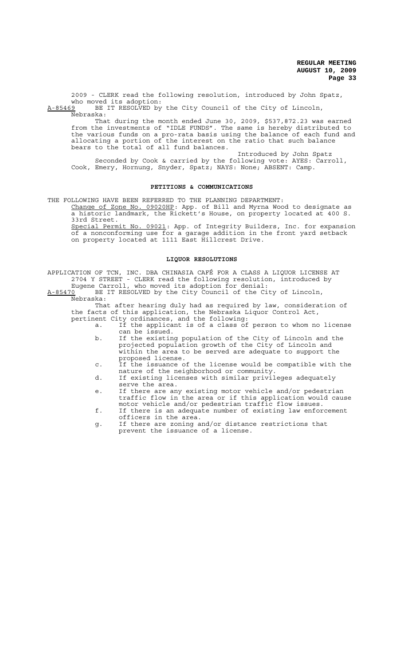2009 - CLERK read the following resolution, introduced by John Spatz, who moved its adoption:<br>A-85469 BE IT RESOLVED by

BE IT RESOLVED by the City Council of the City of Lincoln, Nebraska:

That during the month ended June 30, 2009, \$537,872.23 was earned from the investments of "IDLE FUNDS". The same is hereby distributed to the various funds on a pro-rata basis using the balance of each fund and allocating a portion of the interest on the ratio that such balance bears to the total of all fund balances.

Introduced by John Spatz Seconded by Cook & carried by the following vote: AYES: Carroll, Cook, Emery, Hornung, Snyder, Spatz; NAYS: None; ABSENT: Camp.

# **PETITIONS & COMMUNICATIONS**

THE FOLLOWING HAVE BEEN REFERRED TO THE PLANNING DEPARTMENT:

Change of Zone No. 09020HP: App. of Bill and Myrna Wood to designate as a historic landmark, the Rickett's House, on property located at 400 S. 33rd Street.

Special Permit No. 09021: App. of Integrity Builders, Inc. for expansion of a nonconforming use for a garage addition in the front yard setback on property located at 1111 East Hillcrest Drive.

#### **LIQUOR RESOLUTIONS**

APPLICATION OF TCN, INC. DBA CHINASIA CAFÉ FOR A CLASS A LIQUOR LICENSE AT 2704 Y STREET - CLERK read the following resolution, introduced by Eugene Carroll, who moved its adoption for denial:

A-85470 BE IT RESOLVED by the City Council of the City of Lincoln, Nebraska:

That after hearing duly had as required by law, consideration of the facts of this application, the Nebraska Liquor Control Act, pertinent City ordinances, and the following:

- a. If the applicant is of a class of person to whom no license can be issued.
	- b. If the existing population of the City of Lincoln and the projected population growth of the City of Lincoln and within the area to be served are adequate to support the proposed license.
	- c. If the issuance of the license would be compatible with the nature of the neighborhood or community.
	- d. If existing licenses with similar privileges adequately serve the area.
	- e. If there are any existing motor vehicle and/or pedestrian traffic flow in the area or if this application would cause motor vehicle and/or pedestrian traffic flow issues.
	- f. If there is an adequate number of existing law enforcement officers in the area.
	- g. If there are zoning and/or distance restrictions that prevent the issuance of a license.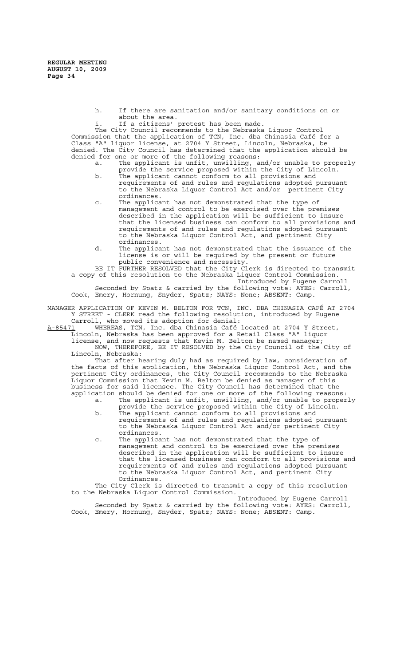- h. If there are sanitation and/or sanitary conditions on or about the area.
- i. If a citizens' protest has been made.

The City Council recommends to the Nebraska Liquor Control Commission that the application of TCN, Inc. dba Chinasia Café for a Class "A" liquor license, at 2704 Y Street, Lincoln, Nebraska, be denied. The City Council has determined that the application should be denied for one or more of the following reasons:

- a. The applicant is unfit, unwilling, and/or unable to properly provide the service proposed within the City of Lincoln.
- b. The applicant cannot conform to all provisions and requirements of and rules and regulations adopted pursuant to the Nebraska Liquor Control Act and/or pertinent City ordinances.
- c. The applicant has not demonstrated that the type of management and control to be exercised over the premises described in the application will be sufficient to insure that the licensed business can conform to all provisions and requirements of and rules and regulations adopted pursuant to the Nebraska Liquor Control Act, and pertinent City ordinances.
- d. The applicant has not demonstrated that the issuance of the license is or will be required by the present or future public convenience and necessity.

BE IT FURTHER RESOLVED that the City Clerk is directed to transmit a copy of this resolution to the Nebraska Liquor Control Commission.

Introduced by Eugene Carroll Seconded by Spatz & carried by the following vote: AYES: Carroll, Cook, Emery, Hornung, Snyder, Spatz; NAYS: None; ABSENT: Camp.

MANAGER APPLICATION OF KEVIN M. BELTON FOR TCN, INC. DBA CHINASIA CAFÉ AT 2704 Y STREET - CLERK read the following resolution, introduced by Eugene Carroll, who moved its adoption for denial:

A-85471 WHEREAS, TCN, Inc. dba Chinasia Café located at 2704 Y Street, Lincoln, Nebraska has been approved for a Retail Class "A" liquor license, and now requests that Kevin M. Belton be named manager;

NOW, THEREFORE, BE IT RESOLVED by the City Council of the City of Lincoln, Nebraska:

That after hearing duly had as required by law, consideration of the facts of this application, the Nebraska Liquor Control Act, and the pertinent City ordinances, the City Council recommends to the Nebraska Liquor Commission that Kevin M. Belton be denied as manager of this business for said licensee. The City Council has determined that the application should be denied for one or more of the following reasons: a. The applicant is unfit, unwilling, and/or unable to properly

- provide the service proposed within the City of Lincoln. b. The applicant cannot conform to all provisions and
	- requirements of and rules and regulations adopted pursuant to the Nebraska Liquor Control Act and/or pertinent City ordinances.
- c. The applicant has not demonstrated that the type of management and control to be exercised over the premises described in the application will be sufficient to insure that the licensed business can conform to all provisions and requirements of and rules and regulations adopted pursuant to the Nebraska Liquor Control Act, and pertinent City Ordinances.

The City Clerk is directed to transmit a copy of this resolution to the Nebraska Liquor Control Commission.

Introduced by Eugene Carroll Seconded by Spatz & carried by the following vote: AYES: Carroll, Cook, Emery, Hornung, Snyder, Spatz; NAYS: None; ABSENT: Camp.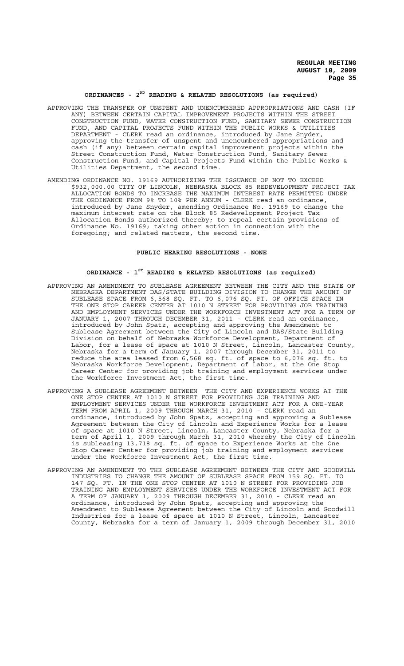# **ORDINANCES - 2ND READING & RELATED RESOLUTIONS (as required)**

- APPROVING THE TRANSFER OF UNSPENT AND UNENCUMBERED APPROPRIATIONS AND CASH (IF ANY) BETWEEN CERTAIN CAPITAL IMPROVEMENT PROJECTS WITHIN THE STREET CONSTRUCTION FUND, WATER CONSTRUCTION FUND, SANITARY SEWER CONSTRUCTION FUND, AND CAPITAL PROJECTS FUND WITHIN THE PUBLIC WORKS & UTILITIES DEPARTMENT - CLERK read an ordinance, introduced by Jane Snyder, approving the transfer of unspent and unencumbered appropriations and cash (if any) between certain capital improvement projects within the Street Construction Fund, Water Construction Fund, Sanitary Sewer Construction Fund, and Capital Projects Fund within the Public Works & Utilities Department, the second time.
- AMENDING ORDINANCE NO. 19169 AUTHORIZING THE ISSUANCE OF NOT TO EXCEED \$932,000.00 CITY OF LINCOLN, NEBRASKA BLOCK 85 REDEVELOPMENT PROJECT TAX ALLOCATION BONDS TO INCREASE THE MAXIMUM INTEREST RATE PERMITTED UNDER THE ORDINANCE FROM 9% TO 10% PER ANNUM - CLERK read an ordinance, introduced by Jane Snyder, amending Ordinance No. 19169 to change the maximum interest rate on the Block 85 Redevelopment Project Tax Allocation Bonds authorized thereby; to repeal certain provisions of Ordinance No. 19169; taking other action in connection with the foregoing; and related matters, the second time.

### **PUBLIC HEARING RESOLUTIONS - NONE**

# **ORDINANCE - 1ST READING & RELATED RESOLUTIONS (as required)**

- APPROVING AN AMENDMENT TO SUBLEASE AGREEMENT BETWEEN THE CITY AND THE STATE OF NEBRASKA DEPARTMENT DAS/STATE BUILDING DIVISION TO CHANGE THE AMOUNT OF SUBLEASE SPACE FROM 6,568 SQ. FT. TO 6,076 SQ. FT. OF OFFICE SPACE IN THE ONE STOP CAREER CENTER AT 1010 N STREET FOR PROVIDING JOB TRAINING AND EMPLOYMENT SERVICES UNDER THE WORKFORCE INVESTMENT ACT FOR A TERM OF JANUARY 1, 2007 THROUGH DECEMBER 31, 2011 - CLERK read an ordinance, introduced by John Spatz, accepting and approving the Amendment to Sublease Agreement between the City of Lincoln and DAS/State Building Division on behalf of Nebraska Workforce Development, Department of Labor, for a lease of space at 1010 N Street, Lincoln, Lancaster County, Nebraska for a term of January 1, 2007 through December 31, 2011 to reduce the area leased from 6,568 sq. ft. of space to 6,076 sq. ft. to Nebraska Workforce Development, Department of Labor, at the One Stop Career Center for providing job training and employment services under the Workforce Investment Act, the first time.
- APPROVING A SUBLEASE AGREEMENT BETWEEN THE CITY AND EXPERIENCE WORKS AT THE ONE STOP CENTER AT 1010 N STREET FOR PROVIDING JOB TRAINING AND EMPLOYMENT SERVICES UNDER THE WORKFORCE INVESTMENT ACT FOR A ONE-YEAR TERM FROM APRIL 1, 2009 THROUGH MARCH 31, 2010 - CLERK read an ordinance, introduced by John Spatz, accepting and approving a Sublease Agreement between the City of Lincoln and Experience Works for a lease of space at 1010 N Street, Lincoln, Lancaster County, Nebraska for a term of April 1, 2009 through March 31, 2010 whereby the City of Lincoln is subleasing 13,718 sq. ft. of space to Experience Works at the One Stop Career Center for providing job training and employment services under the Workforce Investment Act, the first time.
- APPROVING AN AMENDMENT TO THE SUBLEASE AGREEMENT BETWEEN THE CITY AND GOODWILL INDUSTRIES TO CHANGE THE AMOUNT OF SUBLEASE SPACE FROM 159 SQ. FT. TO 147 SQ. FT. IN THE ONE STOP CENTER AT 1010 N STREET FOR PROVIDING JOB TRAINING AND EMPLOYMENT SERVICES UNDER THE WORKFORCE INVESTMENT ACT FOR A TERM OF JANUARY 1, 2009 THROUGH DECEMBER 31, 2010 - CLERK read an ordinance, introduced by John Spatz, accepting and approving the Amendment to Sublease Agreement between the City of Lincoln and Goodwill Industries for a lease of space at 1010 N Street, Lincoln, Lancaster County, Nebraska for a term of January 1, 2009 through December 31, 2010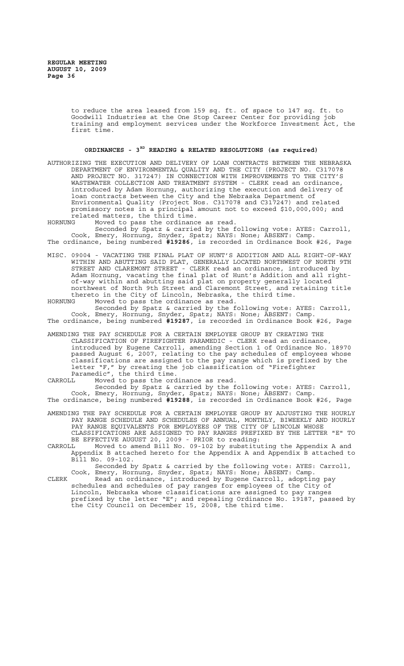to reduce the area leased from 159 sq. ft. of space to 147 sq. ft. to Goodwill Industries at the One Stop Career Center for providing job training and employment services under the Workforce Investment Act, the first time.

# **ORDINANCES - 3RD READING & RELATED RESOLUTIONS (as required)**

- AUTHORIZING THE EXECUTION AND DELIVERY OF LOAN CONTRACTS BETWEEN THE NEBRASKA DEPARTMENT OF ENVIRONMENTAL QUALITY AND THE CITY (PROJECT NO. C317078 AND PROJECT NO. 317247) IN CONNECTION WITH IMPROVEMENTS TO THE CITY'S WASTEWATER COLLECTION AND TREATMENT SYSTEM - CLERK read an ordinance, introduced by Adam Hornung, authorizing the execution and delivery of loan contracts between the City and the Nebraska Department of Environmental Quality (Project Nos. C317078 and C317247) and related promissory notes in a principal amount not to exceed \$10,000,000; and related matters, the third time.
- HORNUNG Moved to pass the ordinance as read. Seconded by Spatz & carried by the following vote: AYES: Carroll, Cook, Emery, Hornung, Snyder, Spatz; NAYS: None; ABSENT: Camp.
- The ordinance, being numbered **#19286**, is recorded in Ordinance Book #26, Page
- MISC. 09004 VACATING THE FINAL PLAT OF HUNT'S ADDITION AND ALL RIGHT-OF-WAY WITHIN AND ABUTTING SAID PLAT, GENERALLY LOCATED NORTHWEST OF NORTH 9TH STREET AND CLAREMONT STREET - CLERK read an ordinance, introduced by Adam Hornung, vacating the final plat of Hunt's Addition and all rightof-way within and abutting said plat on property generally located northwest of North 9th Street and Claremont Street, and retaining title thereto in the City of Lincoln, Nebraska, the third time.<br>HORNUNG Moved to pass the ordinance as read.
- Moved to pass the ordinance as read.

Seconded by Spatz & carried by the following vote: AYES: Carroll, Cook, Emery, Hornung, Snyder, Spatz; NAYS: None; ABSENT: Camp. The ordinance, being numbered **#19287**, is recorded in Ordinance Book #26, Page

- AMENDING THE PAY SCHEDULE FOR A CERTAIN EMPLOYEE GROUP BY CREATING THE CLASSIFICATION OF FIREFIGHTER PARAMEDIC - CLERK read an ordinance, introduced by Eugene Carroll, amending Section 1 of Ordinance No. 18970 passed August 6, 2007, relating to the pay schedules of employees whose classifications are assigned to the pay range which is prefixed by the letter "F," by creating the job classification of "Firefighter Paramedic", the third time.
- CARROLL Moved to pass the ordinance as read.

Seconded by Spatz & carried by the following vote: AYES: Carroll, Cook, Emery, Hornung, Snyder, Spatz; NAYS: None; ABSENT: Camp. The ordinance, being numbered **#19288**, is recorded in Ordinance Book #26, Page

- AMENDING THE PAY SCHEDULE FOR A CERTAIN EMPLOYEE GROUP BY ADJUSTING THE HOURLY PAY RANGE SCHEDULE AND SCHEDULES OF ANNUAL, MONTHLY, BIWEEKLY AND HOURLY PAY RANGE EQUIVALENTS FOR EMPLOYEES OF THE CITY OF LINCOLN WHOSE CLASSIFICATIONS ARE ASSIGNED TO PAY RANGES PREFIXED BY THE LETTER "E" TO BE EFFECTIVE AUGUST 20, 2009 - PRIOR to reading:
- CARROLL Moved to amend Bill No. 09-102 by substituting the Appendix A and Appendix B attached hereto for the Appendix A and Appendix B attached to Bill No. 09-102.

Seconded by Spatz & carried by the following vote: AYES: Carroll, Cook, Emery, Hornung, Snyder, Spatz; NAYS: None; ABSENT: Camp.

CLERK Read an ordinance, introduced by Eugene Carroll, adopting pay schedules and schedules of pay ranges for employees of the City of Lincoln, Nebraska whose classifications are assigned to pay ranges prefixed by the letter "E"; and repealing Ordinance No. 19187, passed by the City Council on December 15, 2008, the third time.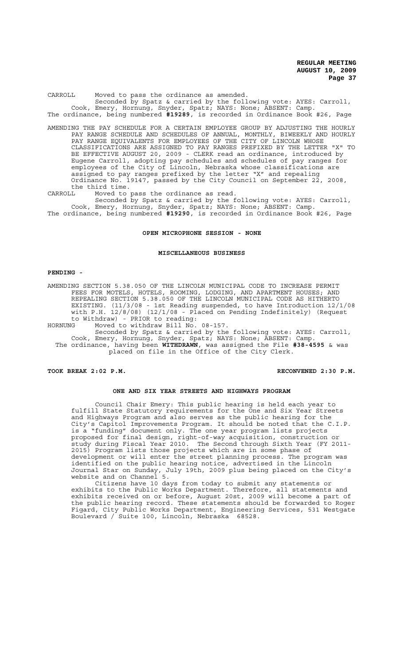CARROLL Moved to pass the ordinance as amended. Seconded by Spatz & carried by the following vote: AYES: Carroll, Cook, Emery, Hornung, Snyder, Spatz; NAYS: None; ABSENT: Camp. The ordinance, being numbered **#19289**, is recorded in Ordinance Book #26, Page

- AMENDING THE PAY SCHEDULE FOR A CERTAIN EMPLOYEE GROUP BY ADJUSTING THE HOURLY PAY RANGE SCHEDULE AND SCHEDULES OF ANNUAL, MONTHLY, BIWEEKLY AND HOURLY PAY RANGE EQUIVALENTS FOR EMPLOYEES OF THE CITY OF LINCOLN WHOSE CLASSIFICATIONS ARE ASSIGNED TO PAY RANGES PREFIXED BY THE LETTER "X" TO BE EFFECTIVE AUGUST 20, 2009 - CLERK read an ordinance, introduced by Eugene Carroll, adopting pay schedules and schedules of pay ranges for employees of the City of Lincoln, Nebraska whose classifications are assigned to pay ranges prefixed by the letter "X" and repealing Ordinance No. 19147, passed by the City Council on September 22, 2008, the third time.
- CARROLL Moved to pass the ordinance as read.

Seconded by Spatz & carried by the following vote: AYES: Carroll, Cook, Emery, Hornung, Snyder, Spatz; NAYS: None; ABSENT: Camp. The ordinance, being numbered **#19290**, is recorded in Ordinance Book #26, Page

#### **OPEN MICROPHONE SESSION - NONE**

#### **MISCELLANEOUS BUSINESS**

#### **PENDING -**

AMENDING SECTION 5.38.050 OF THE LINCOLN MUNICIPAL CODE TO INCREASE PERMIT FEES FOR MOTELS, HOTELS, ROOMING, LODGING, AND APARTMENT HOUSES; AND REPEALING SECTION 5.38.050 OF THE LINCOLN MUNICIPAL CODE AS HITHERTO EXISTING. (11/3/08 - 1st Reading suspended, to have Introduction 12/1/08 with P.H. 12/8/08) (12/1/08 - Placed on Pending Indefinitely) (Request to Withdraw) - PRIOR to reading:

HORNUNG Moved to withdraw Bill No. 08-157.

Seconded by Spatz & carried by the following vote: AYES: Carroll, Cook, Emery, Hornung, Snyder, Spatz; NAYS: None; ABSENT: Camp. The ordinance, having been **WITHDRAWN**, was assigned the File **#38-4595** & was placed on file in the Office of the City Clerk.

## **TOOK BREAK 2:02 P.M. RECONVENED 2:30 P.M.**

### **ONE AND SIX YEAR STREETS AND HIGHWAYS PROGRAM**

Council Chair Emery: This public hearing is held each year to fulfill State Statutory requirements for the One and Six Year Streets and Highways Program and also serves as the public hearing for the City's Capitol Improvements Program. It should be noted that the C.I.P. is a "funding" document only. The one year program lists projects proposed for final design, right-of-way acquisition, construction or study during Fiscal Year 2010. The Second through Sixth Year (FY 2011- 2015) Program lists those projects which are in some phase of development or will enter the street planning process. The program was identified on the public hearing notice, advertised in the Lincoln Journal Star on Sunday, July 19th, 2009 plus being placed on the City's website and on Channel 5.

Citizens have 10 days from today to submit any statements or exhibits to the Public Works Department. Therefore, all statements and exhibits received on or before, August 20st, 2009 will become a part of the public hearing record. These statements should be forwarded to Roger Figard, City Public Works Department, Engineering Services, 531 Westgate Boulevard / Suite 100, Lincoln, Nebraska 68528.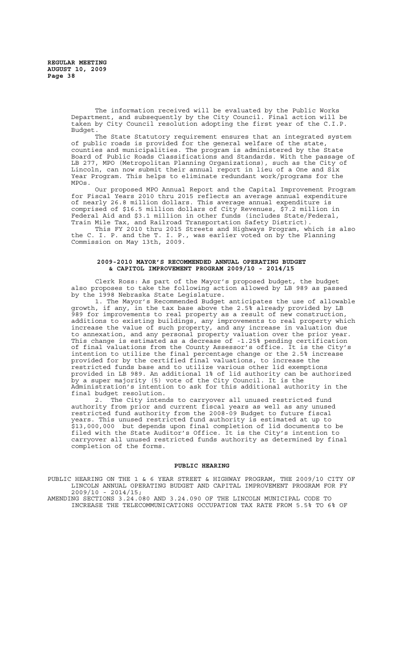The information received will be evaluated by the Public Works Department, and subsequently by the City Council. Final action will be taken by City Council resolution adopting the first year of the C.I.P. Budget.

The State Statutory requirement ensures that an integrated system of public roads is provided for the general welfare of the state, counties and municipalities. The program is administered by the State Board of Public Roads Classifications and Standards. With the passage of LB 277, MPO (Metropolitan Planning Organizations), such as the City of Lincoln, can now submit their annual report in lieu of a One and Six Year Program. This helps to eliminate redundant work/programs for the MPOs.

Our proposed MPO Annual Report and the Capital Improvement Program for Fiscal Years 2010 thru 2015 reflects an average annual expenditure of nearly 26.8 million dollars. This average annual expenditure is comprised of \$16.5 million dollars of City Revenues, \$7.2 million in Federal Aid and \$3.1 million in other funds (includes State/Federal, Train Mile Tax, and Railroad Transportation Safety District).

This FY 2010 thru 2015 Streets and Highways Program, which is also the C. I. P. and the T. I. P., was earlier voted on by the Planning Commission on May 13th, 2009.

### **2009-2010 MAYOR'S RECOMMENDED ANNUAL OPERATING BUDGET & CAPITOL IMPROVEMENT PROGRAM 2009/10 - 2014/15**

Clerk Ross: As part of the Mayor's proposed budget, the budget also proposes to take the following action allowed by LB 989 as passed by the 1998 Nebraska State Legislature.

1. The Mayor's Recommended Budget anticipates the use of allowable growth, if any, in the tax base above the 2.5% already provided by LB 989 for improvements to real property as a result of new construction, additions to existing buildings, any improvements to real property which increase the value of such property, and any increase in valuation due to annexation, and any personal property valuation over the prior year. This change is estimated as a decrease of -1.25% pending certification of final valuations from the County Assessor's office. It is the City's intention to utilize the final percentage change or the 2.5% increase provided for by the certified final valuations, to increase the restricted funds base and to utilize various other lid exemptions provided in LB 989. An additional 1% of lid authority can be authorized by a super majority (5) vote of the City Council. It is the Administration's intention to ask for this additional authority in the final budget resolution.

2. The City intends to carryover all unused restricted fund authority from prior and current fiscal years as well as any unused restricted fund authority from the 2008-09 Budget to future fiscal years. This unused restricted fund authority is estimated at up to \$13,000,000 but depends upon final completion of lid documents to be filed with the State Auditor's Office. It is the City's intention to carryover all unused restricted funds authority as determined by final completion of the forms.

#### **PUBLIC HEARING**

PUBLIC HEARING ON THE 1 & 6 YEAR STREET & HIGHWAY PROGRAM, THE 2009/10 CITY OF LINCOLN ANNUAL OPERATING BUDGET AND CAPITAL IMPROVEMENT PROGRAM FOR FY 2009/10 - 2014/15;

AMENDING SECTIONS 3.24.080 AND 3.24.090 OF THE LINCOLN MUNICIPAL CODE TO INCREASE THE TELECOMMUNICATIONS OCCUPATION TAX RATE FROM 5.5% TO 6% OF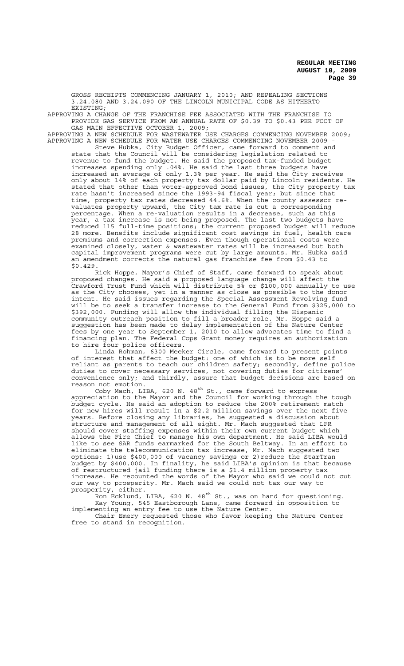GROSS RECEIPTS COMMENCING JANUARY 1, 2010; AND REPEALING SECTIONS 3.24.080 AND 3.24.090 OF THE LINCOLN MUNICIPAL CODE AS HITHERTO EXISTING;

APPROVING A CHANGE OF THE FRANCHISE FEE ASSOCIATED WITH THE FRANCHISE TO PROVIDE GAS SERVICE FROM AN ANNUAL RATE OF \$0.39 TO \$0.43 PER FOOT OF GAS MAIN EFFECTIVE OCTOBER 1, 2009;

APPROVING A NEW SCHEDULE FOR WASTEWATER USE CHARGES COMMENCING NOVEMBER 2009; APPROVING A NEW SCHEDULE FOR WATER USE CHARGES COMMENCING NOVEMBER 2009 -

Steve Hubka, City Budget Officer, came forward to comment and state that the Council will be considering legislation related to revenue to fund the budget. He said the proposed tax-funded budget increases spending only .04%. He said the last three budgets have increased an average of only 1.3% per year. He said the City receives only about 14% of each property tax dollar paid by Lincoln residents. He stated that other than voter-approved bond issues, the City property tax rate hasn't increased since the 1993-94 fiscal year; but since that time, property tax rates decreased 44.6%. When the county assessor revaluates property upward, the City tax rate is cut a corresponding percentage. When a re-valuation results in a decrease, such as this year, a tax increase is not being proposed. The last two budgets have reduced 115 full-time positions; the current proposed budget will reduce reduced 115 full-time positions; the current proposed budget will reduce<br>28 more. Benefits include significant cost savings in fuel, health care premiums and correction expenses. Even though operational costs were examined closely, water & wastewater rates will be increased but both capital improvement programs were cut by large amounts. Mr. Hubka said an amendment corrects the natural gas franchise fee from \$0.43 to \$0.429.

Rick Hoppe, Mayor's Chief of Staff, came forward to speak about proposed changes. He said a proposed language change will affect the Crawford Trust Fund which will distribute 5% or \$100,000 annually to use as the City chooses, yet in a manner as close as possible to the donor intent. He said issues regarding the Special Assessment Revolving fund will be to seek a transfer increase to the General Fund from \$325,000 to \$392,000. Funding will allow the individual filling the Hispanic community outreach position to fill a broader role. Mr. Hoppe said a suggestion has been made to delay implementation of the Nature Center fees by one year to September 1, 2010 to allow advocates time to find a financing plan. The Federal Cops Grant money requires an authorization to hire four police officers.

Linda Rohman, 6300 Meeker Circle, came forward to present points of interest that affect the budget: one of which is to be more self reliant as parents to teach our children safety; secondly, define police duties to cover necessary services, not covering duties for citizens' convenience only; and thirdly, assure that budget decisions are based on reason not emotion.

Coby Mach, LIBA, 620 N. 48<sup>th</sup> St., came forward to express appreciation to the Mayor and the Council for working through the tough budget cycle. He said an adoption to reduce the 200% retirement match for new hires will result in a \$2.2 million savings over the next five years. Before closing any libraries, he suggested a discussion about structure and management of all eight. Mr. Mach suggested that LFR should cover staffing expenses within their own current budget which allows the Fire Chief to manage his own department. He said LIBA would like to see SAR funds earmarked for the South Beltway. In an effort to eliminate the telecommunication tax increase, Mr. Mach suggested two options: 1)use \$400,000 of vacancy savings or 2)reduce the StarTran budget by \$400,000. In finality, he said LIBA's opinion is that because of restructured jail funding there is a \$1.4 million property tax increase. He recounted the words of the Mayor who said we could not cut our way to prosperity. Mr. Mach said we could not tax our way to prosperity, either.

Ron Ecklund, LIBA, 620 N. 48<sup>th</sup> St., was on hand for questioning. Kay Young, 545 Eastborough Lane, came forward in opposition to implementing an entry fee to use the Nature Center.

Chair Emery requested those who favor keeping the Nature Center free to stand in recognition.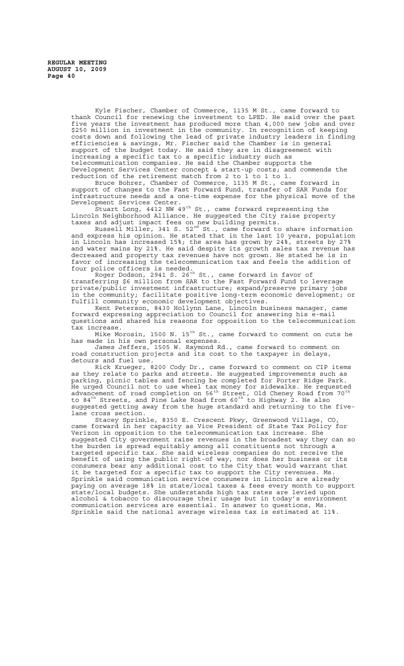Kyle Fischer, Chamber of Commerce, 1135 M St., came forward to thank Council for renewing the investment to LPED. He said over the past five years the investment has produced more than 4,000 new jobs and over \$250 million in investment in the community. In recognition of keeping costs down and following the lead of private industry leaders in finding efficiencies & savings, Mr. Fischer said the Chamber is in general support of the budget today. He said they are in disagreement with increasing a specific tax to a specific industry such as telecommunication companies. He said the Chamber supports the Development Services Center concept & start-up costs; and commends the reduction of the retirement match from 2 to 1 to 1 to 1.

Bruce Bohrer, Chamber of Commerce, 1135 M St., came forward in support of changes to the Fast Forward Fund, transfer of SAR Funds for infrastructure needs and a one-time expense for the physical move of the Development Services Center.

Stuart Long, 4412 NW 49<sup>th</sup> St., came forward representing the Lincoln Neighborhood Alliance. He suggested the City raise property taxes and adjust impact fees on new building permits.

Russell Miller, 341 S. 52<sup>nd</sup> St., came forward to share information and express his opinion. He stated that in the last 10 years, population in Lincoln has increased 15%; the area has grown by 24%, streets by 27% and water mains by 21%. He said despite its growth sales tax revenue has decreased and property tax revenues have not grown. He stated he is in favor of increasing the telecommunication tax and feels the addition of four police officers is needed.

Roger Dodson, 2941 S. 26<sup>th</sup> St., came forward in favor of transferring \$6 million from SAR to the Fast Forward Fund to leverage private/public investment infrastructure; expand/preserve primary jobs in the community; facilitate positive long-term economic development; or fulfill community economic development objectives.

Kent Peterson, 8430 Hollynn Lane, Lincoln business manager, came forward expressing appreciation to Council for answering his e-mail questions and shared his reasons for opposition to the telecommunication tax increase.

Mike Morosin, 1500 N. 15th St., came forward to comment on cuts he has made in his own personal expenses.

James Jeffers, 1505 W. Raymond Rd., came forward to comment on road construction projects and its cost to the taxpayer in delays, detours and fuel use.

Rick Krueger, 8200 Cody Dr., came forward to comment on CIP items as they relate to parks and streets. He suggested improvements such as parking, picnic tables and fencing be completed for Porter Ridge Park. He urged Council not to use wheel tax money for sidewalks. He requested advancement of road completion on 56<sup>th</sup> Street, Old Cheney Road from 70<sup>th</sup> to 84<sup>th</sup> Streets, and Pine Lake Road from 60<sup>th</sup> to Highway 2. He also suggested getting away from the huge standard and returning to the fivelane cross section.

Stacey Sprinkle, 8350 E. Crescent Pkwy, Greenwood Village, CO, came forward in her capacity as Vice President of State Tax Policy for Verizon in opposition to the telecommunication tax increase. She suggested City government raise revenues in the broadest way they can so the burden is spread equitably among all constituents not through a targeted specific tax. She said wireless companies do not receive the benefit of using the public right-of way, nor does her business or its consumers bear any additional cost to the City that would warrant that it be targeted for a specific tax to support the City revenues. Ms. Sprinkle said communication service consumers in Lincoln are already paying on average 18% in state/local taxes & fees every month to support state/local budgets. She understands high tax rates are levied upon alcohol & tobacco to discourage their usage but in today's environment communication services are essential. In answer to questions, Ms. Sprinkle said the national average wireless tax is estimated at 11%.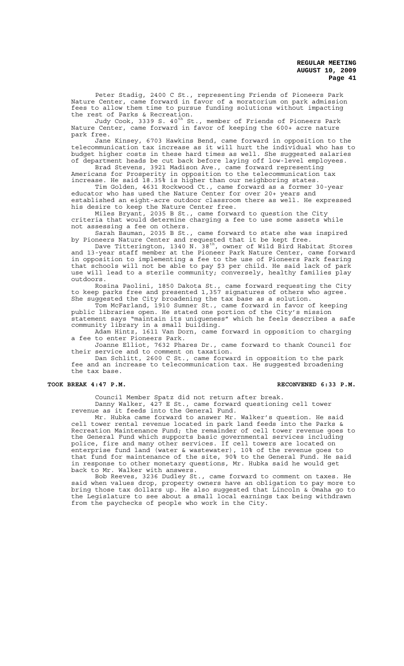Peter Stadig, 2400 C St., representing Friends of Pioneers Park Nature Center, came forward in favor of a moratorium on park admission fees to allow them time to pursue funding solutions without impacting the rest of Parks & Recreation.

Judy Cook, 3339 S. 40<sup>th</sup> St., member of Friends of Pioneers Park Nature Center, came forward in favor of keeping the 600+ acre nature park free.

Jane Kinsey, 6703 Hawkins Bend, came forward in opposition to the telecommunication tax increase as it will hurt the individual who has to budget higher costs in these hard times as well. She suggested salaries of department heads be cut back before laying off low-level employees. Brad Stevens, 3921 Madison Ave., came forward representing

Americans for Prosperity in opposition to the telecommunication tax increase. He said 18.35% is higher than our neighboring states.

Tim Golden, 4631 Rockwood Ct., came forward as a former 30-year educator who has used the Nature Center for over 20+ years and established an eight-acre outdoor classroom there as well. He expressed his desire to keep the Nature Center free.

Miles Bryant, 2035 B St., came forward to question the City criteria that would determine charging a fee to use some assets while not assessing a fee on others.

Sarah Bauman, 2035 B St., came forward to state she was inspired by Pioneers Nature Center and requested that it be kept free.

Dave Titterington, 1340 N. 38<sup>th</sup>, owner of Wild Bird Habitat Stores and 13-year staff member at the Pioneer Park Nature Center, came forward in opposition to implementing a fee to the use of Pioneers Park fearing that schools will not be able to pay \$3 per child. He said lack of park use will lead to a sterile community; conversely, healthy families play outdoors.

Rosina Paolini, 1850 Dakota St., came forward requesting the City to keep parks free and presented 1,357 signatures of others who agree. She suggested the City broadening the tax base as a solution.

Tom McFarland, 1910 Sumner St., came forward in favor of keeping public libraries open. He stated one portion of the City's mission statement says "maintain its uniqueness" which he feels describes a safe community library in a small building.

Adam Hintz, 1611 Van Dorn, came forward in opposition to charging a fee to enter Pioneers Park.

Joanne Elliot, 7632 Phares Dr., came forward to thank Council for their service and to comment on taxation.

Dan Schlitt, 2600 C St., came forward in opposition to the park fee and an increase to telecommunication tax. He suggested broadening the tax base.

# **TOOK BREAK 4:47 P.M. RECONVENED 6:33 P.M.**

Council Member Spatz did not return after break.

Danny Walker, 427 E St., came forward questioning cell tower revenue as it feeds into the General Fund.

Mr. Hubka came forward to answer Mr. Walker's question. He said cell tower rental revenue located in park land feeds into the Parks & Recreation Maintenance Fund; the remainder of cell tower revenue goes to the General Fund which supports basic governmental services including police, fire and many other services. If cell towers are located on enterprise fund land (water & wastewater), 10% of the revenue goes to that fund for maintenance of the site, 90% to the General Fund. He said in response to other monetary questions, Mr. Hubka said he would get back to Mr. Walker with answers.

Bob Reeves, 3236 Dudley St., came forward to comment on taxes. He said when values drop, property owners have an obligation to pay more to bring those tax dollars up. He also suggested that Lincoln & Omaha go to the Legislature to see about a small local earnings tax being withdrawn from the paychecks of people who work in the City.